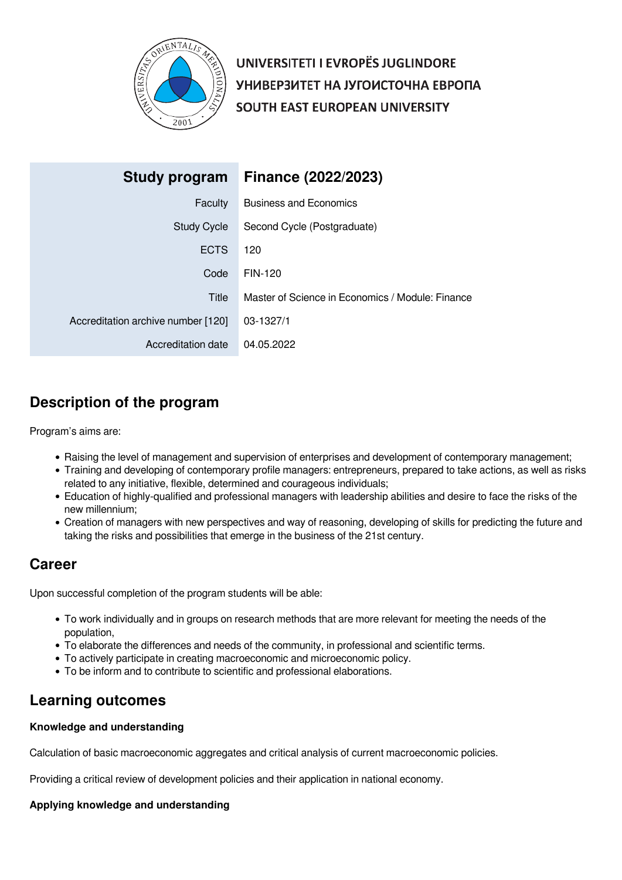

UNIVERSITETI I EVROPËS JUGLINDORE УНИВЕРЗИТЕТ НА ЈУГОИСТОЧНА ЕВРОПА SOUTH EAST EUROPEAN UNIVERSITY

| Study program                      | <b>Finance (2022/2023)</b>                       |
|------------------------------------|--------------------------------------------------|
| Faculty                            | <b>Business and Economics</b>                    |
| <b>Study Cycle</b>                 | Second Cycle (Postgraduate)                      |
| <b>ECTS</b>                        | 120                                              |
| Code                               | <b>FIN-120</b>                                   |
| Title                              | Master of Science in Economics / Module: Finance |
| Accreditation archive number [120] | 03-1327/1                                        |
| Accreditation date                 | 04.05.2022                                       |

# **Description of the program**

Program's aims are:

- Raising the level of management and supervision of enterprises and development of contemporary management;
- Training and developing of contemporary profile managers: entrepreneurs, prepared to take actions, as well as risks related to any initiative, flexible, determined and courageous individuals;
- Education of highly-qualified and professional managers with leadership abilities and desire to face the risks of the new millennium;
- Creation of managers with new perspectives and way of reasoning, developing of skills for predicting the future and taking the risks and possibilities that emerge in the business of the 21st century.

## **Career**

Upon successful completion of the program students will be able:

- To work individually and in groups on research methods that are more relevant for meeting the needs of the population,
- To elaborate the differences and needs of the community, in professional and scientific terms.
- To actively participate in creating macroeconomic and microeconomic policy.
- To be inform and to contribute to scientific and professional elaborations.

## **Learning outcomes**

## **Knowledge and understanding**

Calculation of basic macroeconomic aggregates and critical analysis of current macroeconomic policies.

Providing a critical review of development policies and their application in national economy.

## **Applying knowledge and understanding**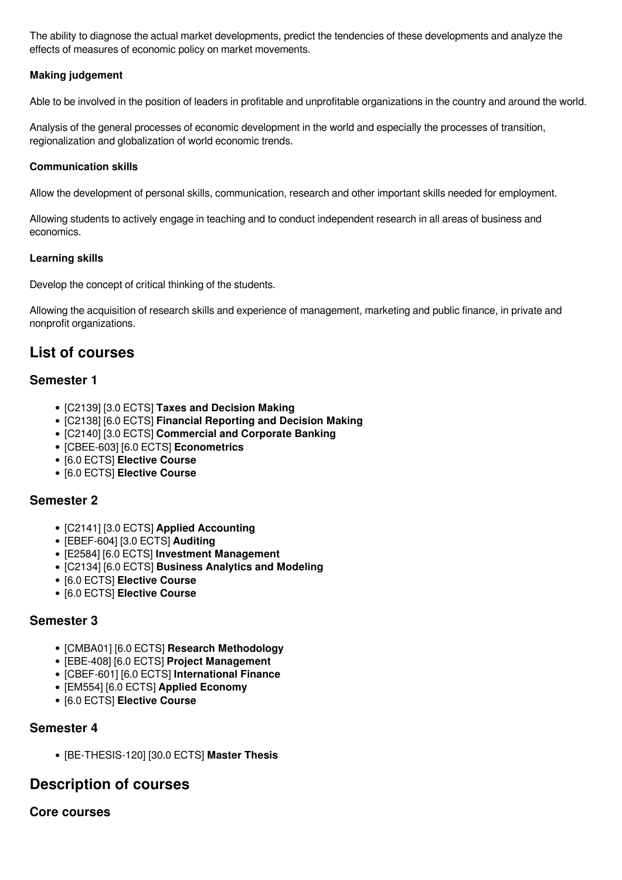The ability to diagnose the actual market developments, predict the tendencies of these developments and analyze the effects of measures of economic policy on market movements.

## **Making judgement**

Able to be involved in the position of leaders in profitable and unprofitable organizations in the country and around the world.

Analysis of the general processes of economic development in the world and especially the processes of transition, regionalization and globalization of world economic trends.

## **Communication skills**

Allow the development of personal skills, communication, research and other important skills needed for employment.

Allowing students to actively engage in teaching and to conduct independent research in all areas of business and economics.

## **Learning skills**

Develop the concept of critical thinking of the students.

Allowing the acquisition of research skills and experience of management, marketing and public finance, in private and nonprofit organizations.

## **List of courses**

## **Semester 1**

- [C2139] [3.0 ECTS] **Taxes and Decision Making**
- [C2138] [6.0 ECTS] **Financial Reporting and Decision Making**
- [C2140] [3.0 ECTS] **Commercial and Corporate Banking**
- [CBEE-603] [6.0 ECTS] **Econometrics**
- [6.0 ECTS] **Elective Course**
- [6.0 ECTS] **Elective Course**

## **Semester 2**

- [C2141] [3.0 ECTS] **Applied Accounting**
- [EBEF-604] [3.0 ECTS] **Auditing**
- [E2584] [6.0 ECTS] **Investment Management**
- [C2134] [6.0 ECTS] **Business Analytics and Modeling**
- [6.0 ECTS] **Elective Course**
- [6.0 ECTS] **Elective Course**

## **Semester 3**

- [CMBA01] [6.0 ECTS] **Research Methodology**
- [EBE-408] [6.0 ECTS] **Project Management**
- [CBEF-601] [6.0 ECTS] **International Finance**
- [EM554] [6.0 ECTS] **Applied Economy**
- [6.0 ECTS] **Elective Course**

## **Semester 4**

[BE-THESIS-120] [30.0 ECTS] **Master Thesis**

## **Description of courses**

## **Core courses**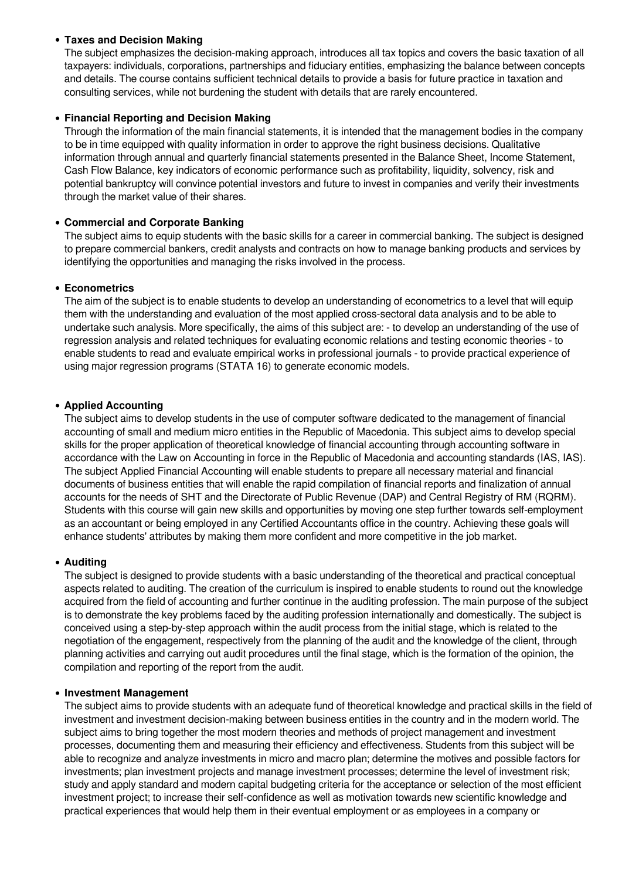## **Taxes and Decision Making**

The subject emphasizes the decision-making approach, introduces all tax topics and covers the basic taxation of all taxpayers: individuals, corporations, partnerships and fiduciary entities, emphasizing the balance between concepts and details. The course contains sufficient technical details to provide a basis for future practice in taxation and consulting services, while not burdening the student with details that are rarely encountered.

## **Financial Reporting and Decision Making**

Through the information of the main financial statements, it is intended that the management bodies in the company to be in time equipped with quality information in order to approve the right business decisions. Qualitative information through annual and quarterly financial statements presented in the Balance Sheet, Income Statement, Cash Flow Balance, key indicators of economic performance such as profitability, liquidity, solvency, risk and potential bankruptcy will convince potential investors and future to invest in companies and verify their investments through the market value of their shares.

## **Commercial and Corporate Banking**

The subject aims to equip students with the basic skills for a career in commercial banking. The subject is designed to prepare commercial bankers, credit analysts and contracts on how to manage banking products and services by identifying the opportunities and managing the risks involved in the process.

## **Econometrics**

The aim of the subject is to enable students to develop an understanding of econometrics to a level that will equip them with the understanding and evaluation of the most applied cross-sectoral data analysis and to be able to undertake such analysis. More specifically, the aims of this subject are: - to develop an understanding of the use of regression analysis and related techniques for evaluating economic relations and testing economic theories - to enable students to read and evaluate empirical works in professional journals - to provide practical experience of using major regression programs (STATA 16) to generate economic models.

## **Applied Accounting**

The subject aims to develop students in the use of computer software dedicated to the management of financial accounting of small and medium micro entities in the Republic of Macedonia. This subject aims to develop special skills for the proper application of theoretical knowledge of financial accounting through accounting software in accordance with the Law on Accounting in force in the Republic of Macedonia and accounting standards (IAS, IAS). The subject Applied Financial Accounting will enable students to prepare all necessary material and financial documents of business entities that will enable the rapid compilation of financial reports and finalization of annual accounts for the needs of SHT and the Directorate of Public Revenue (DAP) and Central Registry of RM (RQRM). Students with this course will gain new skills and opportunities by moving one step further towards self-employment as an accountant or being employed in any Certified Accountants office in the country. Achieving these goals will enhance students' attributes by making them more confident and more competitive in the job market.

## **Auditing**

The subject is designed to provide students with a basic understanding of the theoretical and practical conceptual aspects related to auditing. The creation of the curriculum is inspired to enable students to round out the knowledge acquired from the field of accounting and further continue in the auditing profession. The main purpose of the subject is to demonstrate the key problems faced by the auditing profession internationally and domestically. The subject is conceived using a step-by-step approach within the audit process from the initial stage, which is related to the negotiation of the engagement, respectively from the planning of the audit and the knowledge of the client, through planning activities and carrying out audit procedures until the final stage, which is the formation of the opinion, the compilation and reporting of the report from the audit.

## **Investment Management**

The subject aims to provide students with an adequate fund of theoretical knowledge and practical skills in the field of investment and investment decision-making between business entities in the country and in the modern world. The subject aims to bring together the most modern theories and methods of project management and investment processes, documenting them and measuring their efficiency and effectiveness. Students from this subject will be able to recognize and analyze investments in micro and macro plan; determine the motives and possible factors for investments; plan investment projects and manage investment processes; determine the level of investment risk; study and apply standard and modern capital budgeting criteria for the acceptance or selection of the most efficient investment project; to increase their self-confidence as well as motivation towards new scientific knowledge and practical experiences that would help them in their eventual employment or as employees in a company or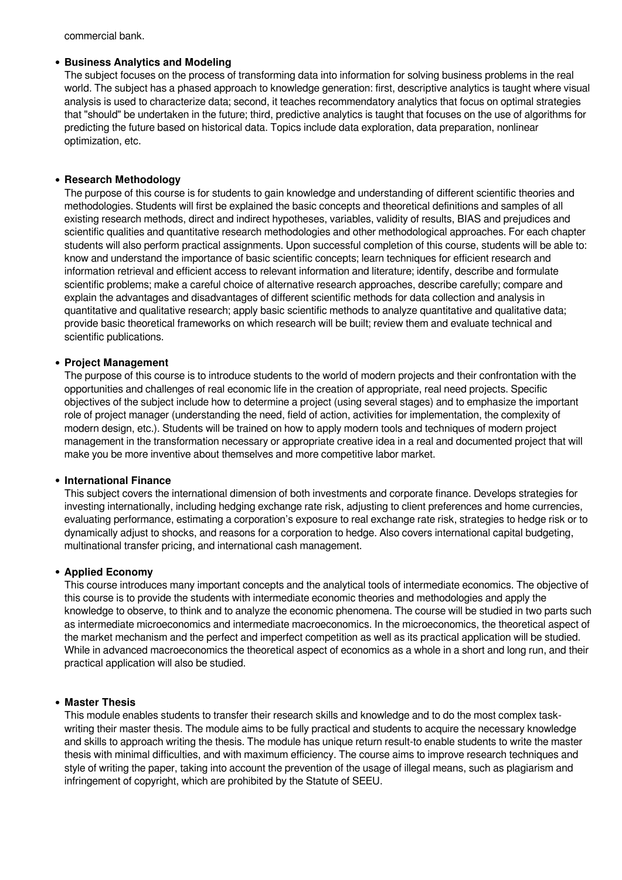commercial bank.

## **Business Analytics and Modeling**

The subject focuses on the process of transforming data into information for solving business problems in the real world. The subject has a phased approach to knowledge generation: first, descriptive analytics is taught where visual analysis is used to characterize data; second, it teaches recommendatory analytics that focus on optimal strategies that "should" be undertaken in the future; third, predictive analytics is taught that focuses on the use of algorithms for predicting the future based on historical data. Topics include data exploration, data preparation, nonlinear optimization, etc.

## **Research Methodology**

The purpose of this course is for students to gain knowledge and understanding of different scientific theories and methodologies. Students will first be explained the basic concepts and theoretical definitions and samples of all existing research methods, direct and indirect hypotheses, variables, validity of results, BIAS and prejudices and scientific qualities and quantitative research methodologies and other methodological approaches. For each chapter students will also perform practical assignments. Upon successful completion of this course, students will be able to: know and understand the importance of basic scientific concepts; learn techniques for efficient research and information retrieval and efficient access to relevant information and literature; identify, describe and formulate scientific problems; make a careful choice of alternative research approaches, describe carefully; compare and explain the advantages and disadvantages of different scientific methods for data collection and analysis in quantitative and qualitative research; apply basic scientific methods to analyze quantitative and qualitative data; provide basic theoretical frameworks on which research will be built; review them and evaluate technical and scientific publications.

#### **Project Management**

The purpose of this course is to introduce students to the world of modern projects and their confrontation with the opportunities and challenges of real economic life in the creation of appropriate, real need projects. Specific objectives of the subject include how to determine a project (using several stages) and to emphasize the important role of project manager (understanding the need, field of action, activities for implementation, the complexity of modern design, etc.). Students will be trained on how to apply modern tools and techniques of modern project management in the transformation necessary or appropriate creative idea in a real and documented project that will make you be more inventive about themselves and more competitive labor market.

#### **International Finance**

This subject covers the international dimension of both investments and corporate finance. Develops strategies for investing internationally, including hedging exchange rate risk, adjusting to client preferences and home currencies, evaluating performance, estimating a corporation's exposure to real exchange rate risk, strategies to hedge risk or to dynamically adjust to shocks, and reasons for a corporation to hedge. Also covers international capital budgeting, multinational transfer pricing, and international cash management.

#### **Applied Economy**

This course introduces many important concepts and the analytical tools of intermediate economics. The objective of this course is to provide the students with intermediate economic theories and methodologies and apply the knowledge to observe, to think and to analyze the economic phenomena. The course will be studied in two parts such as intermediate microeconomics and intermediate macroeconomics. In the microeconomics, the theoretical aspect of the market mechanism and the perfect and imperfect competition as well as its practical application will be studied. While in advanced macroeconomics the theoretical aspect of economics as a whole in a short and long run, and their practical application will also be studied.

#### **Master Thesis**

This module enables students to transfer their research skills and knowledge and to do the most complex taskwriting their master thesis. The module aims to be fully practical and students to acquire the necessary knowledge and skills to approach writing the thesis. The module has unique return result-to enable students to write the master thesis with minimal difficulties, and with maximum efficiency. The course aims to improve research techniques and style of writing the paper, taking into account the prevention of the usage of illegal means, such as plagiarism and infringement of copyright, which are prohibited by the Statute of SEEU.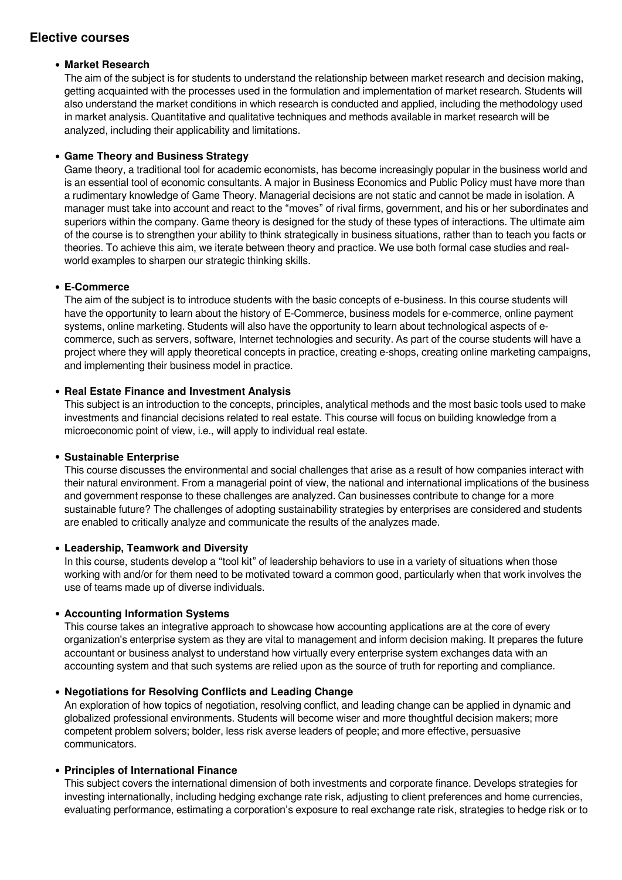## **Elective courses**

## **Market Research**

The aim of the subject is for students to understand the relationship between market research and decision making, getting acquainted with the processes used in the formulation and implementation of market research. Students will also understand the market conditions in which research is conducted and applied, including the methodology used in market analysis. Quantitative and qualitative techniques and methods available in market research will be analyzed, including their applicability and limitations.

## **Game Theory and Business Strategy**

Game theory, a traditional tool for academic economists, has become increasingly popular in the business world and is an essential tool of economic consultants. A major in Business Economics and Public Policy must have more than a rudimentary knowledge of Game Theory. Managerial decisions are not static and cannot be made in isolation. A manager must take into account and react to the "moves" of rival firms, government, and his or her subordinates and superiors within the company. Game theory is designed for the study of these types of interactions. The ultimate aim of the course is to strengthen your ability to think strategically in business situations, rather than to teach you facts or theories. To achieve this aim, we iterate between theory and practice. We use both formal case studies and realworld examples to sharpen our strategic thinking skills.

## **E-Commerce**

The aim of the subject is to introduce students with the basic concepts of e-business. In this course students will have the opportunity to learn about the history of E-Commerce, business models for e-commerce, online payment systems, online marketing. Students will also have the opportunity to learn about technological aspects of ecommerce, such as servers, software, Internet technologies and security. As part of the course students will have a project where they will apply theoretical concepts in practice, creating e-shops, creating online marketing campaigns, and implementing their business model in practice.

## **Real Estate Finance and Investment Analysis**

This subject is an introduction to the concepts, principles, analytical methods and the most basic tools used to make investments and financial decisions related to real estate. This course will focus on building knowledge from a microeconomic point of view, i.e., will apply to individual real estate.

## **Sustainable Enterprise**

This course discusses the environmental and social challenges that arise as a result of how companies interact with their natural environment. From a managerial point of view, the national and international implications of the business and government response to these challenges are analyzed. Can businesses contribute to change for a more sustainable future? The challenges of adopting sustainability strategies by enterprises are considered and students are enabled to critically analyze and communicate the results of the analyzes made.

## **Leadership, Teamwork and Diversity**

In this course, students develop a "tool kit" of leadership behaviors to use in a variety of situations when those working with and/or for them need to be motivated toward a common good, particularly when that work involves the use of teams made up of diverse individuals.

## **Accounting Information Systems**

This course takes an integrative approach to showcase how accounting applications are at the core of every organization's enterprise system as they are vital to management and inform decision making. It prepares the future accountant or business analyst to understand how virtually every enterprise system exchanges data with an accounting system and that such systems are relied upon as the source of truth for reporting and compliance.

## **Negotiations for Resolving Conflicts and Leading Change**

An exploration of how topics of negotiation, resolving conflict, and leading change can be applied in dynamic and globalized professional environments. Students will become wiser and more thoughtful decision makers; more competent problem solvers; bolder, less risk averse leaders of people; and more effective, persuasive communicators.

## **Principles of International Finance**

This subject covers the international dimension of both investments and corporate finance. Develops strategies for investing internationally, including hedging exchange rate risk, adjusting to client preferences and home currencies, evaluating performance, estimating a corporation's exposure to real exchange rate risk, strategies to hedge risk or to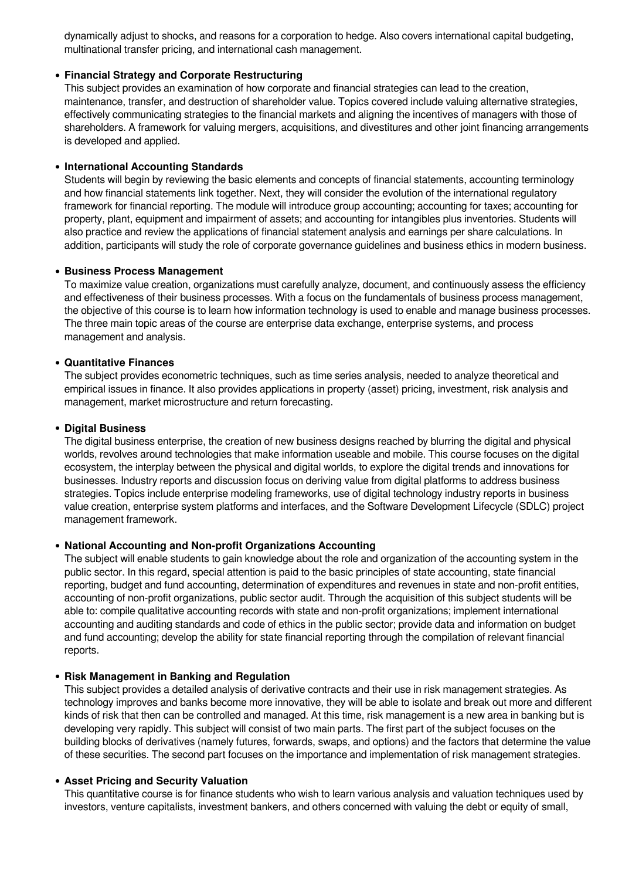dynamically adjust to shocks, and reasons for a corporation to hedge. Also covers international capital budgeting, multinational transfer pricing, and international cash management.

#### **Financial Strategy and Corporate Restructuring**

This subject provides an examination of how corporate and financial strategies can lead to the creation, maintenance, transfer, and destruction of shareholder value. Topics covered include valuing alternative strategies, effectively communicating strategies to the financial markets and aligning the incentives of managers with those of shareholders. A framework for valuing mergers, acquisitions, and divestitures and other joint financing arrangements is developed and applied.

#### **International Accounting Standards**

Students will begin by reviewing the basic elements and concepts of financial statements, accounting terminology and how financial statements link together. Next, they will consider the evolution of the international regulatory framework for financial reporting. The module will introduce group accounting; accounting for taxes; accounting for property, plant, equipment and impairment of assets; and accounting for intangibles plus inventories. Students will also practice and review the applications of financial statement analysis and earnings per share calculations. In addition, participants will study the role of corporate governance guidelines and business ethics in modern business.

#### **Business Process Management**

To maximize value creation, organizations must carefully analyze, document, and continuously assess the efficiency and effectiveness of their business processes. With a focus on the fundamentals of business process management, the objective of this course is to learn how information technology is used to enable and manage business processes. The three main topic areas of the course are enterprise data exchange, enterprise systems, and process management and analysis.

#### **Quantitative Finances**

The subject provides econometric techniques, such as time series analysis, needed to analyze theoretical and empirical issues in finance. It also provides applications in property (asset) pricing, investment, risk analysis and management, market microstructure and return forecasting.

#### **Digital Business**

The digital business enterprise, the creation of new business designs reached by blurring the digital and physical worlds, revolves around technologies that make information useable and mobile. This course focuses on the digital ecosystem, the interplay between the physical and digital worlds, to explore the digital trends and innovations for businesses. Industry reports and discussion focus on deriving value from digital platforms to address business strategies. Topics include enterprise modeling frameworks, use of digital technology industry reports in business value creation, enterprise system platforms and interfaces, and the Software Development Lifecycle (SDLC) project management framework.

#### **National Accounting and Non-profit Organizations Accounting**

The subject will enable students to gain knowledge about the role and organization of the accounting system in the public sector. In this regard, special attention is paid to the basic principles of state accounting, state financial reporting, budget and fund accounting, determination of expenditures and revenues in state and non-profit entities, accounting of non-profit organizations, public sector audit. Through the acquisition of this subject students will be able to: compile qualitative accounting records with state and non-profit organizations; implement international accounting and auditing standards and code of ethics in the public sector; provide data and information on budget and fund accounting; develop the ability for state financial reporting through the compilation of relevant financial reports.

#### **Risk Management in Banking and Regulation**

This subject provides a detailed analysis of derivative contracts and their use in risk management strategies. As technology improves and banks become more innovative, they will be able to isolate and break out more and different kinds of risk that then can be controlled and managed. At this time, risk management is a new area in banking but is developing very rapidly. This subject will consist of two main parts. The first part of the subject focuses on the building blocks of derivatives (namely futures, forwards, swaps, and options) and the factors that determine the value of these securities. The second part focuses on the importance and implementation of risk management strategies.

#### **Asset Pricing and Security Valuation**

This quantitative course is for finance students who wish to learn various analysis and valuation techniques used by investors, venture capitalists, investment bankers, and others concerned with valuing the debt or equity of small,